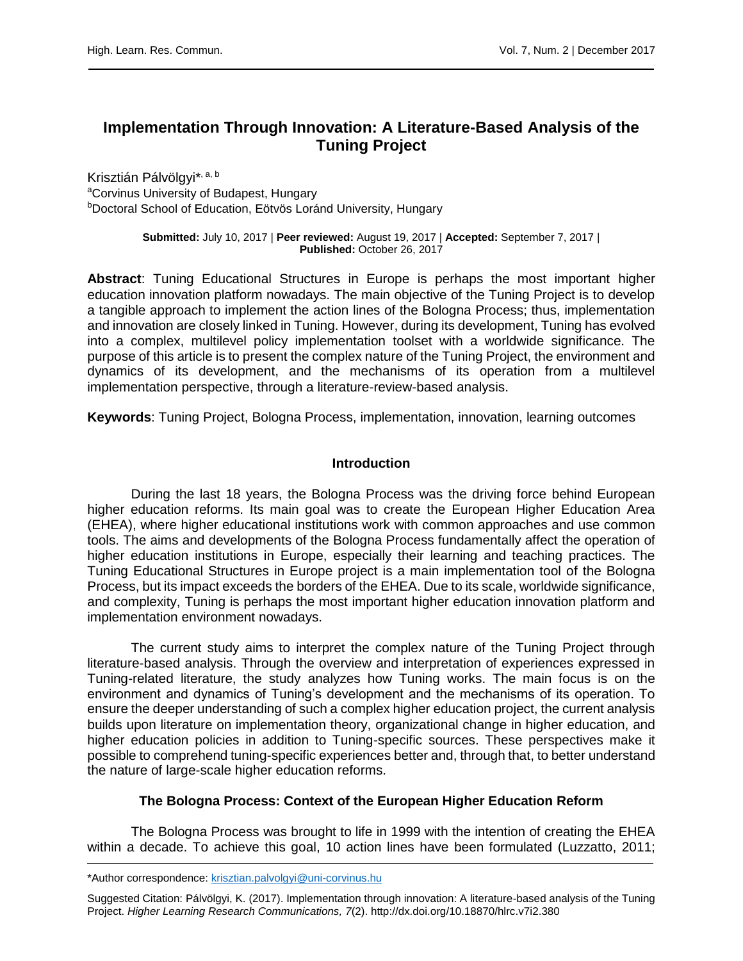# **Implementation Through Innovation: A Literature-Based Analysis of the Tuning Project**

Krisztián Pálvölgyi\*<sup>, a, b</sup> aCorvinus University of Budapest, Hungary <sup>b</sup>Doctoral School of Education, Eötvös Loránd University, Hungary

> **Submitted:** July 10, 2017 | **Peer reviewed:** August 19, 2017 | **Accepted:** September 7, 2017 | **Published:** October 26, 2017

**Abstract**: Tuning Educational Structures in Europe is perhaps the most important higher education innovation platform nowadays. The main objective of the Tuning Project is to develop a tangible approach to implement the action lines of the Bologna Process; thus, implementation and innovation are closely linked in Tuning. However, during its development, Tuning has evolved into a complex, multilevel policy implementation toolset with a worldwide significance. The purpose of this article is to present the complex nature of the Tuning Project, the environment and dynamics of its development, and the mechanisms of its operation from a multilevel implementation perspective, through a literature-review-based analysis.

**Keywords**: Tuning Project, Bologna Process, implementation, innovation, learning outcomes

# **Introduction**

During the last 18 years, the Bologna Process was the driving force behind European higher education reforms. Its main goal was to create the European Higher Education Area (EHEA), where higher educational institutions work with common approaches and use common tools. The aims and developments of the Bologna Process fundamentally affect the operation of higher education institutions in Europe, especially their learning and teaching practices. The Tuning Educational Structures in Europe project is a main implementation tool of the Bologna Process, but its impact exceeds the borders of the EHEA. Due to its scale, worldwide significance, and complexity, Tuning is perhaps the most important higher education innovation platform and implementation environment nowadays.

The current study aims to interpret the complex nature of the Tuning Project through literature-based analysis. Through the overview and interpretation of experiences expressed in Tuning-related literature, the study analyzes how Tuning works. The main focus is on the environment and dynamics of Tuning's development and the mechanisms of its operation. To ensure the deeper understanding of such a complex higher education project, the current analysis builds upon literature on implementation theory, organizational change in higher education, and higher education policies in addition to Tuning-specific sources. These perspectives make it possible to comprehend tuning-specific experiences better and, through that, to better understand the nature of large-scale higher education reforms.

## **The Bologna Process: Context of the European Higher Education Reform**

The Bologna Process was brought to life in 1999 with the intention of creating the EHEA within a decade. To achieve this goal, 10 action lines have been formulated (Luzzatto, 2011;

<sup>\*</sup>Author correspondence: [krisztian.palvolgyi@uni-corvinus.hu](mailto:krisztian.palvolgyi@uni-corvinus.hu)

Suggested Citation: Pálvölgyi, K. (2017). Implementation through innovation: A literature-based analysis of the Tuning Project. *Higher Learning Research Communications, 7*(2). http://dx.doi.org/10.18870/hlrc.v7i2.380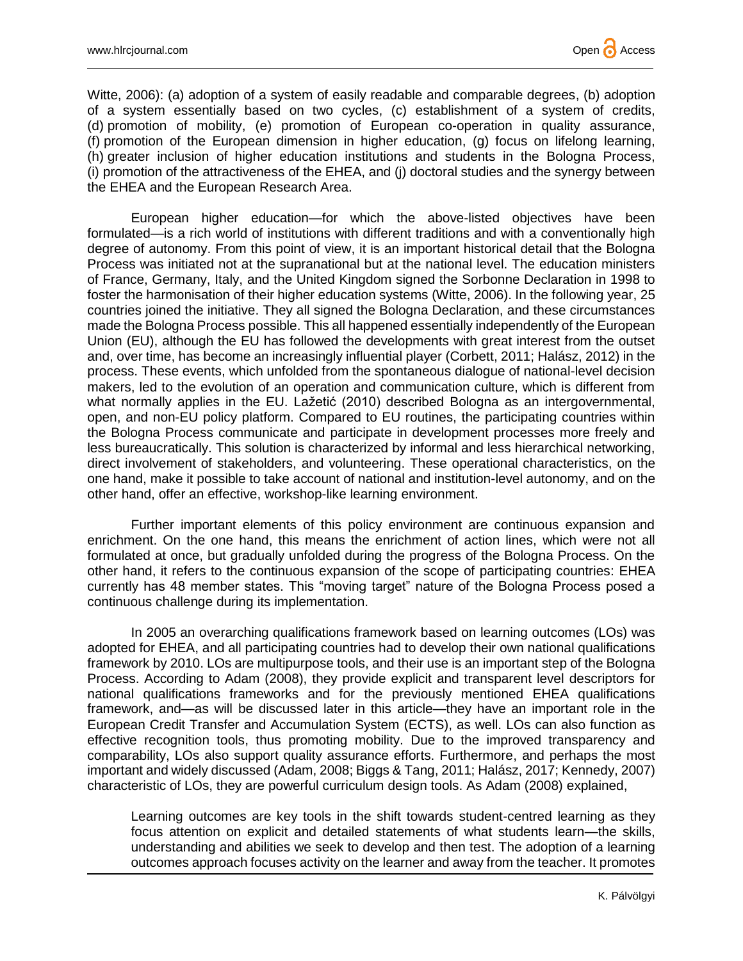

Witte, 2006): (a) adoption of a system of easily readable and comparable degrees, (b) adoption of a system essentially based on two cycles, (c) establishment of a system of credits, (d) promotion of mobility, (e) promotion of European co-operation in quality assurance, (f) promotion of the European dimension in higher education, (g) focus on lifelong learning, (h) greater inclusion of higher education institutions and students in the Bologna Process, (i) promotion of the attractiveness of the EHEA, and (j) doctoral studies and the synergy between the EHEA and the European Research Area.

European higher education—for which the above-listed objectives have been formulated—is a rich world of institutions with different traditions and with a conventionally high degree of autonomy. From this point of view, it is an important historical detail that the Bologna Process was initiated not at the supranational but at the national level. The education ministers of France, Germany, Italy, and the United Kingdom signed the Sorbonne Declaration in 1998 to foster the harmonisation of their higher education systems (Witte, 2006). In the following year, 25 countries joined the initiative. They all signed the Bologna Declaration, and these circumstances made the Bologna Process possible. This all happened essentially independently of the European Union (EU), although the EU has followed the developments with great interest from the outset and, over time, has become an increasingly influential player (Corbett, 2011; Halász, 2012) in the process. These events, which unfolded from the spontaneous dialogue of national-level decision makers, led to the evolution of an operation and communication culture, which is different from what normally applies in the EU. Lažetić (2010) described Bologna as an intergovernmental, open, and non-EU policy platform. Compared to EU routines, the participating countries within the Bologna Process communicate and participate in development processes more freely and less bureaucratically. This solution is characterized by informal and less hierarchical networking, direct involvement of stakeholders, and volunteering. These operational characteristics, on the one hand, make it possible to take account of national and institution-level autonomy, and on the other hand, offer an effective, workshop-like learning environment.

Further important elements of this policy environment are continuous expansion and enrichment. On the one hand, this means the enrichment of action lines, which were not all formulated at once, but gradually unfolded during the progress of the Bologna Process. On the other hand, it refers to the continuous expansion of the scope of participating countries: EHEA currently has 48 member states. This "moving target" nature of the Bologna Process posed a continuous challenge during its implementation.

In 2005 an overarching qualifications framework based on learning outcomes (LOs) was adopted for EHEA, and all participating countries had to develop their own national qualifications framework by 2010. LOs are multipurpose tools, and their use is an important step of the Bologna Process. According to Adam (2008), they provide explicit and transparent level descriptors for national qualifications frameworks and for the previously mentioned EHEA qualifications framework, and—as will be discussed later in this article—they have an important role in the European Credit Transfer and Accumulation System (ECTS), as well. LOs can also function as effective recognition tools, thus promoting mobility. Due to the improved transparency and comparability, LOs also support quality assurance efforts. Furthermore, and perhaps the most important and widely discussed (Adam, 2008; Biggs & Tang, 2011; Halász, 2017; Kennedy, 2007) characteristic of LOs, they are powerful curriculum design tools. As Adam (2008) explained,

Learning outcomes are key tools in the shift towards student-centred learning as they focus attention on explicit and detailed statements of what students learn—the skills, understanding and abilities we seek to develop and then test. The adoption of a learning outcomes approach focuses activity on the learner and away from the teacher. It promotes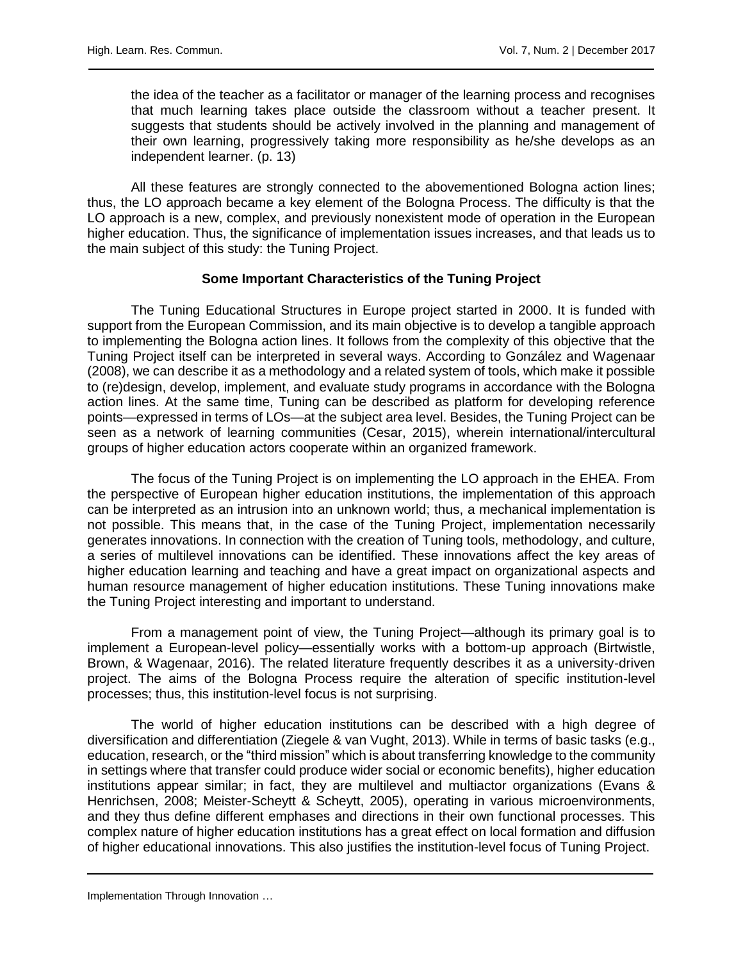the idea of the teacher as a facilitator or manager of the learning process and recognises that much learning takes place outside the classroom without a teacher present. It suggests that students should be actively involved in the planning and management of their own learning, progressively taking more responsibility as he/she develops as an independent learner. (p. 13)

All these features are strongly connected to the abovementioned Bologna action lines; thus, the LO approach became a key element of the Bologna Process. The difficulty is that the LO approach is a new, complex, and previously nonexistent mode of operation in the European higher education. Thus, the significance of implementation issues increases, and that leads us to the main subject of this study: the Tuning Project.

## **Some Important Characteristics of the Tuning Project**

The Tuning Educational Structures in Europe project started in 2000. It is funded with support from the European Commission, and its main objective is to develop a tangible approach to implementing the Bologna action lines. It follows from the complexity of this objective that the Tuning Project itself can be interpreted in several ways. According to González and Wagenaar (2008), we can describe it as a methodology and a related system of tools, which make it possible to (re)design, develop, implement, and evaluate study programs in accordance with the Bologna action lines. At the same time, Tuning can be described as platform for developing reference points—expressed in terms of LOs—at the subject area level. Besides, the Tuning Project can be seen as a network of learning communities (Cesar, 2015), wherein international/intercultural groups of higher education actors cooperate within an organized framework.

The focus of the Tuning Project is on implementing the LO approach in the EHEA. From the perspective of European higher education institutions, the implementation of this approach can be interpreted as an intrusion into an unknown world; thus, a mechanical implementation is not possible. This means that, in the case of the Tuning Project, implementation necessarily generates innovations. In connection with the creation of Tuning tools, methodology, and culture, a series of multilevel innovations can be identified. These innovations affect the key areas of higher education learning and teaching and have a great impact on organizational aspects and human resource management of higher education institutions. These Tuning innovations make the Tuning Project interesting and important to understand.

From a management point of view, the Tuning Project—although its primary goal is to implement a European-level policy—essentially works with a bottom-up approach (Birtwistle, Brown, & Wagenaar, 2016). The related literature frequently describes it as a university-driven project. The aims of the Bologna Process require the alteration of specific institution-level processes; thus, this institution-level focus is not surprising.

The world of higher education institutions can be described with a high degree of diversification and differentiation (Ziegele & van Vught, 2013). While in terms of basic tasks (e.g., education, research, or the "third mission" which is about transferring knowledge to the community in settings where that transfer could produce wider social or economic benefits), higher education institutions appear similar; in fact, they are multilevel and multiactor organizations (Evans & Henrichsen, 2008; Meister-Scheytt & Scheytt, 2005), operating in various microenvironments, and they thus define different emphases and directions in their own functional processes. This complex nature of higher education institutions has a great effect on local formation and diffusion of higher educational innovations. This also justifies the institution-level focus of Tuning Project.

Implementation Through Innovation … 3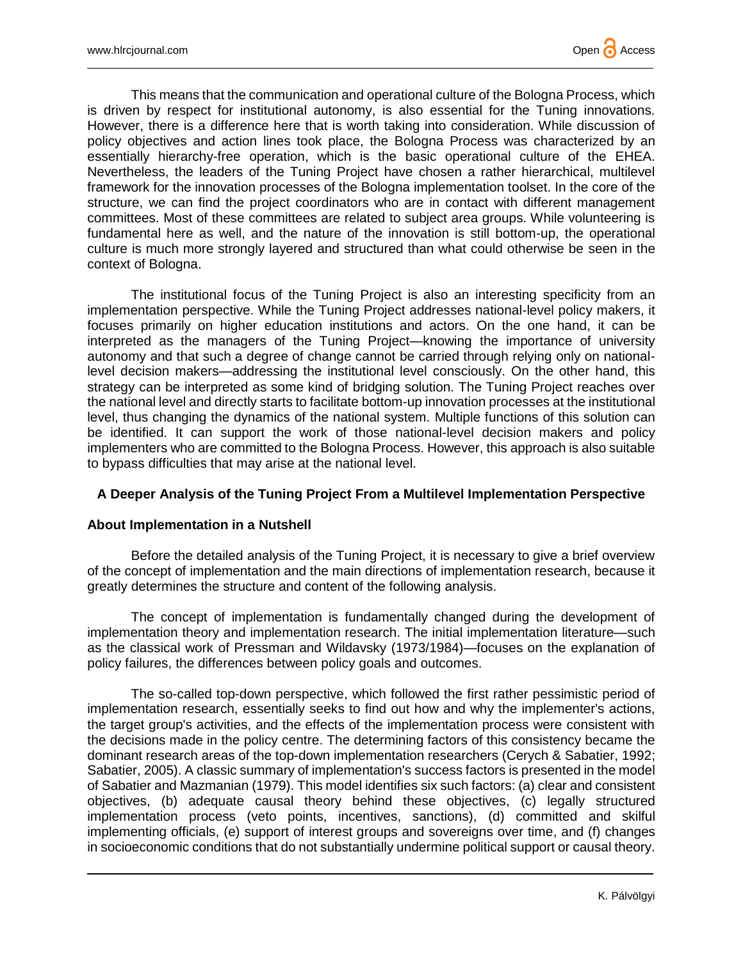

This means that the communication and operational culture of the Bologna Process, which is driven by respect for institutional autonomy, is also essential for the Tuning innovations. However, there is a difference here that is worth taking into consideration. While discussion of policy objectives and action lines took place, the Bologna Process was characterized by an essentially hierarchy-free operation, which is the basic operational culture of the EHEA. Nevertheless, the leaders of the Tuning Project have chosen a rather hierarchical, multilevel framework for the innovation processes of the Bologna implementation toolset. In the core of the structure, we can find the project coordinators who are in contact with different management committees. Most of these committees are related to subject area groups. While volunteering is fundamental here as well, and the nature of the innovation is still bottom-up, the operational culture is much more strongly layered and structured than what could otherwise be seen in the context of Bologna.

The institutional focus of the Tuning Project is also an interesting specificity from an implementation perspective. While the Tuning Project addresses national-level policy makers, it focuses primarily on higher education institutions and actors. On the one hand, it can be interpreted as the managers of the Tuning Project—knowing the importance of university autonomy and that such a degree of change cannot be carried through relying only on nationallevel decision makers—addressing the institutional level consciously. On the other hand, this strategy can be interpreted as some kind of bridging solution. The Tuning Project reaches over the national level and directly starts to facilitate bottom-up innovation processes at the institutional level, thus changing the dynamics of the national system. Multiple functions of this solution can be identified. It can support the work of those national-level decision makers and policy implementers who are committed to the Bologna Process. However, this approach is also suitable to bypass difficulties that may arise at the national level.

# **A Deeper Analysis of the Tuning Project From a Multilevel Implementation Perspective**

#### **About Implementation in a Nutshell**

Before the detailed analysis of the Tuning Project, it is necessary to give a brief overview of the concept of implementation and the main directions of implementation research, because it greatly determines the structure and content of the following analysis.

The concept of implementation is fundamentally changed during the development of implementation theory and implementation research. The initial implementation literature—such as the classical work of Pressman and Wildavsky (1973/1984)—focuses on the explanation of policy failures, the differences between policy goals and outcomes.

The so-called top-down perspective, which followed the first rather pessimistic period of implementation research, essentially seeks to find out how and why the implementer's actions, the target group's activities, and the effects of the implementation process were consistent with the decisions made in the policy centre. The determining factors of this consistency became the dominant research areas of the top-down implementation researchers (Cerych & Sabatier, 1992; Sabatier, 2005). A classic summary of implementation's success factors is presented in the model of Sabatier and Mazmanian (1979). This model identifies six such factors: (a) clear and consistent objectives, (b) adequate causal theory behind these objectives, (c) legally structured implementation process (veto points, incentives, sanctions), (d) committed and skilful implementing officials, (e) support of interest groups and sovereigns over time, and (f) changes in socioeconomic conditions that do not substantially undermine political support or causal theory.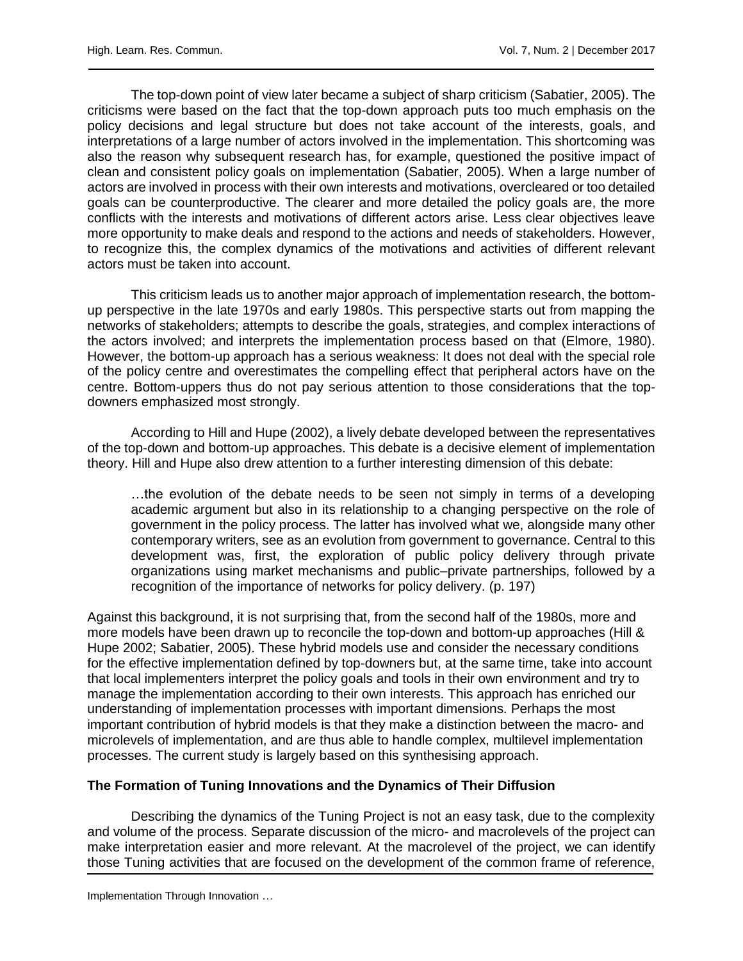The top-down point of view later became a subject of sharp criticism (Sabatier, 2005). The criticisms were based on the fact that the top-down approach puts too much emphasis on the policy decisions and legal structure but does not take account of the interests, goals, and interpretations of a large number of actors involved in the implementation. This shortcoming was also the reason why subsequent research has, for example, questioned the positive impact of clean and consistent policy goals on implementation (Sabatier, 2005). When a large number of actors are involved in process with their own interests and motivations, overcleared or too detailed goals can be counterproductive. The clearer and more detailed the policy goals are, the more conflicts with the interests and motivations of different actors arise. Less clear objectives leave more opportunity to make deals and respond to the actions and needs of stakeholders. However, to recognize this, the complex dynamics of the motivations and activities of different relevant actors must be taken into account.

This criticism leads us to another major approach of implementation research, the bottomup perspective in the late 1970s and early 1980s. This perspective starts out from mapping the networks of stakeholders; attempts to describe the goals, strategies, and complex interactions of the actors involved; and interprets the implementation process based on that (Elmore, 1980). However, the bottom-up approach has a serious weakness: It does not deal with the special role of the policy centre and overestimates the compelling effect that peripheral actors have on the centre. Bottom-uppers thus do not pay serious attention to those considerations that the topdowners emphasized most strongly.

According to Hill and Hupe (2002), a lively debate developed between the representatives of the top-down and bottom-up approaches. This debate is a decisive element of implementation theory. Hill and Hupe also drew attention to a further interesting dimension of this debate:

…the evolution of the debate needs to be seen not simply in terms of a developing academic argument but also in its relationship to a changing perspective on the role of government in the policy process. The latter has involved what we, alongside many other contemporary writers, see as an evolution from government to governance. Central to this development was, first, the exploration of public policy delivery through private organizations using market mechanisms and public–private partnerships, followed by a recognition of the importance of networks for policy delivery. (p. 197)

Against this background, it is not surprising that, from the second half of the 1980s, more and more models have been drawn up to reconcile the top-down and bottom-up approaches (Hill & Hupe 2002; Sabatier, 2005). These hybrid models use and consider the necessary conditions for the effective implementation defined by top-downers but, at the same time, take into account that local implementers interpret the policy goals and tools in their own environment and try to manage the implementation according to their own interests. This approach has enriched our understanding of implementation processes with important dimensions. Perhaps the most important contribution of hybrid models is that they make a distinction between the macro- and microlevels of implementation, and are thus able to handle complex, multilevel implementation processes. The current study is largely based on this synthesising approach.

## **The Formation of Tuning Innovations and the Dynamics of Their Diffusion**

Describing the dynamics of the Tuning Project is not an easy task, due to the complexity and volume of the process. Separate discussion of the micro- and macrolevels of the project can make interpretation easier and more relevant. At the macrolevel of the project, we can identify those Tuning activities that are focused on the development of the common frame of reference,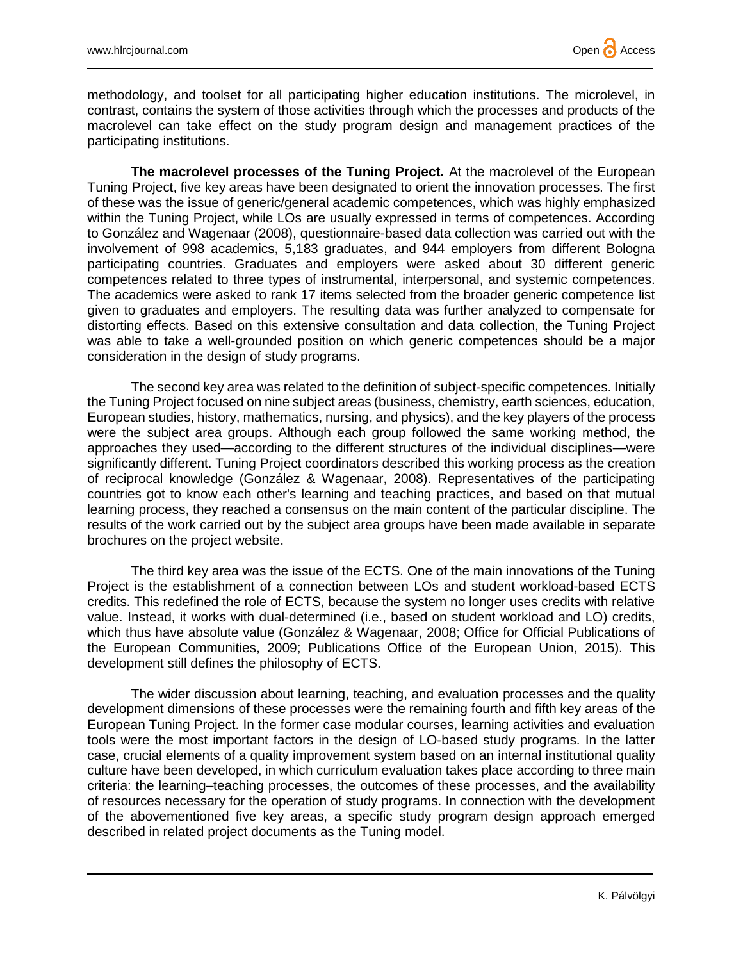methodology, and toolset for all participating higher education institutions. The microlevel, in contrast, contains the system of those activities through which the processes and products of the macrolevel can take effect on the study program design and management practices of the participating institutions.

**The macrolevel processes of the Tuning Project.** At the macrolevel of the European Tuning Project, five key areas have been designated to orient the innovation processes. The first of these was the issue of generic/general academic competences, which was highly emphasized within the Tuning Project, while LOs are usually expressed in terms of competences. According to González and Wagenaar (2008), questionnaire-based data collection was carried out with the involvement of 998 academics, 5,183 graduates, and 944 employers from different Bologna participating countries. Graduates and employers were asked about 30 different generic competences related to three types of instrumental, interpersonal, and systemic competences. The academics were asked to rank 17 items selected from the broader generic competence list given to graduates and employers. The resulting data was further analyzed to compensate for distorting effects. Based on this extensive consultation and data collection, the Tuning Project was able to take a well-grounded position on which generic competences should be a major consideration in the design of study programs.

The second key area was related to the definition of subject-specific competences. Initially the Tuning Project focused on nine subject areas (business, chemistry, earth sciences, education, European studies, history, mathematics, nursing, and physics), and the key players of the process were the subject area groups. Although each group followed the same working method, the approaches they used—according to the different structures of the individual disciplines—were significantly different. Tuning Project coordinators described this working process as the creation of reciprocal knowledge (González & Wagenaar, 2008). Representatives of the participating countries got to know each other's learning and teaching practices, and based on that mutual learning process, they reached a consensus on the main content of the particular discipline. The results of the work carried out by the subject area groups have been made available in separate brochures on the project website.

The third key area was the issue of the ECTS. One of the main innovations of the Tuning Project is the establishment of a connection between LOs and student workload-based ECTS credits. This redefined the role of ECTS, because the system no longer uses credits with relative value. Instead, it works with dual-determined (i.e., based on student workload and LO) credits, which thus have absolute value (González & Wagenaar, 2008; Office for Official Publications of the European Communities, 2009; Publications Office of the European Union, 2015). This development still defines the philosophy of ECTS.

The wider discussion about learning, teaching, and evaluation processes and the quality development dimensions of these processes were the remaining fourth and fifth key areas of the European Tuning Project. In the former case modular courses, learning activities and evaluation tools were the most important factors in the design of LO-based study programs. In the latter case, crucial elements of a quality improvement system based on an internal institutional quality culture have been developed, in which curriculum evaluation takes place according to three main criteria: the learning–teaching processes, the outcomes of these processes, and the availability of resources necessary for the operation of study programs. In connection with the development of the abovementioned five key areas, a specific study program design approach emerged described in related project documents as the Tuning model.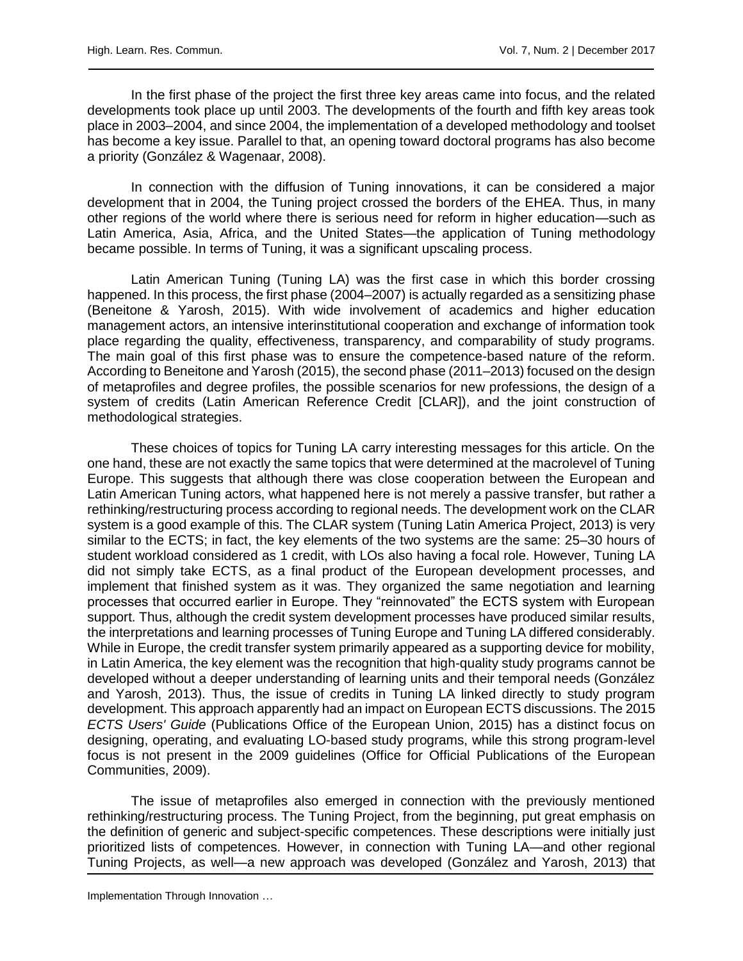In the first phase of the project the first three key areas came into focus, and the related developments took place up until 2003. The developments of the fourth and fifth key areas took place in 2003–2004, and since 2004, the implementation of a developed methodology and toolset has become a key issue. Parallel to that, an opening toward doctoral programs has also become a priority (González & Wagenaar, 2008).

In connection with the diffusion of Tuning innovations, it can be considered a major development that in 2004, the Tuning project crossed the borders of the EHEA. Thus, in many other regions of the world where there is serious need for reform in higher education—such as Latin America, Asia, Africa, and the United States—the application of Tuning methodology became possible. In terms of Tuning, it was a significant upscaling process.

Latin American Tuning (Tuning LA) was the first case in which this border crossing happened. In this process, the first phase (2004–2007) is actually regarded as a sensitizing phase (Beneitone & Yarosh, 2015). With wide involvement of academics and higher education management actors, an intensive interinstitutional cooperation and exchange of information took place regarding the quality, effectiveness, transparency, and comparability of study programs. The main goal of this first phase was to ensure the competence-based nature of the reform. According to Beneitone and Yarosh (2015), the second phase (2011–2013) focused on the design of metaprofiles and degree profiles, the possible scenarios for new professions, the design of a system of credits (Latin American Reference Credit [CLAR]), and the joint construction of methodological strategies.

These choices of topics for Tuning LA carry interesting messages for this article. On the one hand, these are not exactly the same topics that were determined at the macrolevel of Tuning Europe. This suggests that although there was close cooperation between the European and Latin American Tuning actors, what happened here is not merely a passive transfer, but rather a rethinking/restructuring process according to regional needs. The development work on the CLAR system is a good example of this. The CLAR system (Tuning Latin America Project, 2013) is very similar to the ECTS; in fact, the key elements of the two systems are the same: 25–30 hours of student workload considered as 1 credit, with LOs also having a focal role. However, Tuning LA did not simply take ECTS, as a final product of the European development processes, and implement that finished system as it was. They organized the same negotiation and learning processes that occurred earlier in Europe. They "reinnovated" the ECTS system with European support. Thus, although the credit system development processes have produced similar results, the interpretations and learning processes of Tuning Europe and Tuning LA differed considerably. While in Europe, the credit transfer system primarily appeared as a supporting device for mobility, in Latin America, the key element was the recognition that high-quality study programs cannot be developed without a deeper understanding of learning units and their temporal needs (González and Yarosh, 2013). Thus, the issue of credits in Tuning LA linked directly to study program development. This approach apparently had an impact on European ECTS discussions. The 2015 *ECTS Users' Guide* (Publications Office of the European Union, 2015) has a distinct focus on designing, operating, and evaluating LO-based study programs, while this strong program-level focus is not present in the 2009 guidelines (Office for Official Publications of the European Communities, 2009).

The issue of metaprofiles also emerged in connection with the previously mentioned rethinking/restructuring process. The Tuning Project, from the beginning, put great emphasis on the definition of generic and subject-specific competences. These descriptions were initially just prioritized lists of competences. However, in connection with Tuning LA—and other regional Tuning Projects, as well—a new approach was developed (González and Yarosh, 2013) that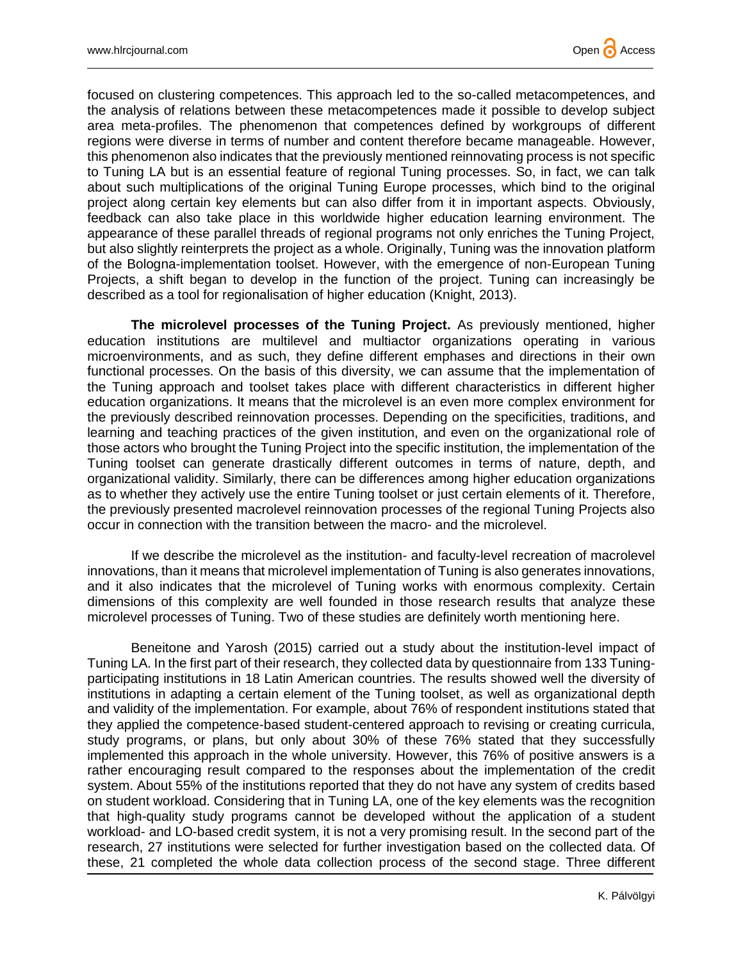

focused on clustering competences. This approach led to the so-called metacompetences, and the analysis of relations between these metacompetences made it possible to develop subject area meta-profiles. The phenomenon that competences defined by workgroups of different regions were diverse in terms of number and content therefore became manageable. However, this phenomenon also indicates that the previously mentioned reinnovating process is not specific to Tuning LA but is an essential feature of regional Tuning processes. So, in fact, we can talk about such multiplications of the original Tuning Europe processes, which bind to the original project along certain key elements but can also differ from it in important aspects. Obviously, feedback can also take place in this worldwide higher education learning environment. The appearance of these parallel threads of regional programs not only enriches the Tuning Project, but also slightly reinterprets the project as a whole. Originally, Tuning was the innovation platform of the Bologna-implementation toolset. However, with the emergence of non-European Tuning Projects, a shift began to develop in the function of the project. Tuning can increasingly be described as a tool for regionalisation of higher education (Knight, 2013).

**The microlevel processes of the Tuning Project.** As previously mentioned, higher education institutions are multilevel and multiactor organizations operating in various microenvironments, and as such, they define different emphases and directions in their own functional processes. On the basis of this diversity, we can assume that the implementation of the Tuning approach and toolset takes place with different characteristics in different higher education organizations. It means that the microlevel is an even more complex environment for the previously described reinnovation processes. Depending on the specificities, traditions, and learning and teaching practices of the given institution, and even on the organizational role of those actors who brought the Tuning Project into the specific institution, the implementation of the Tuning toolset can generate drastically different outcomes in terms of nature, depth, and organizational validity. Similarly, there can be differences among higher education organizations as to whether they actively use the entire Tuning toolset or just certain elements of it. Therefore, the previously presented macrolevel reinnovation processes of the regional Tuning Projects also occur in connection with the transition between the macro- and the microlevel.

If we describe the microlevel as the institution- and faculty-level recreation of macrolevel innovations, than it means that microlevel implementation of Tuning is also generates innovations, and it also indicates that the microlevel of Tuning works with enormous complexity. Certain dimensions of this complexity are well founded in those research results that analyze these microlevel processes of Tuning. Two of these studies are definitely worth mentioning here.

Beneitone and Yarosh (2015) carried out a study about the institution-level impact of Tuning LA. In the first part of their research, they collected data by questionnaire from 133 Tuningparticipating institutions in 18 Latin American countries. The results showed well the diversity of institutions in adapting a certain element of the Tuning toolset, as well as organizational depth and validity of the implementation. For example, about 76% of respondent institutions stated that they applied the competence-based student-centered approach to revising or creating curricula, study programs, or plans, but only about 30% of these 76% stated that they successfully implemented this approach in the whole university. However, this 76% of positive answers is a rather encouraging result compared to the responses about the implementation of the credit system. About 55% of the institutions reported that they do not have any system of credits based on student workload. Considering that in Tuning LA, one of the key elements was the recognition that high-quality study programs cannot be developed without the application of a student workload- and LO-based credit system, it is not a very promising result. In the second part of the research, 27 institutions were selected for further investigation based on the collected data. Of these, 21 completed the whole data collection process of the second stage. Three different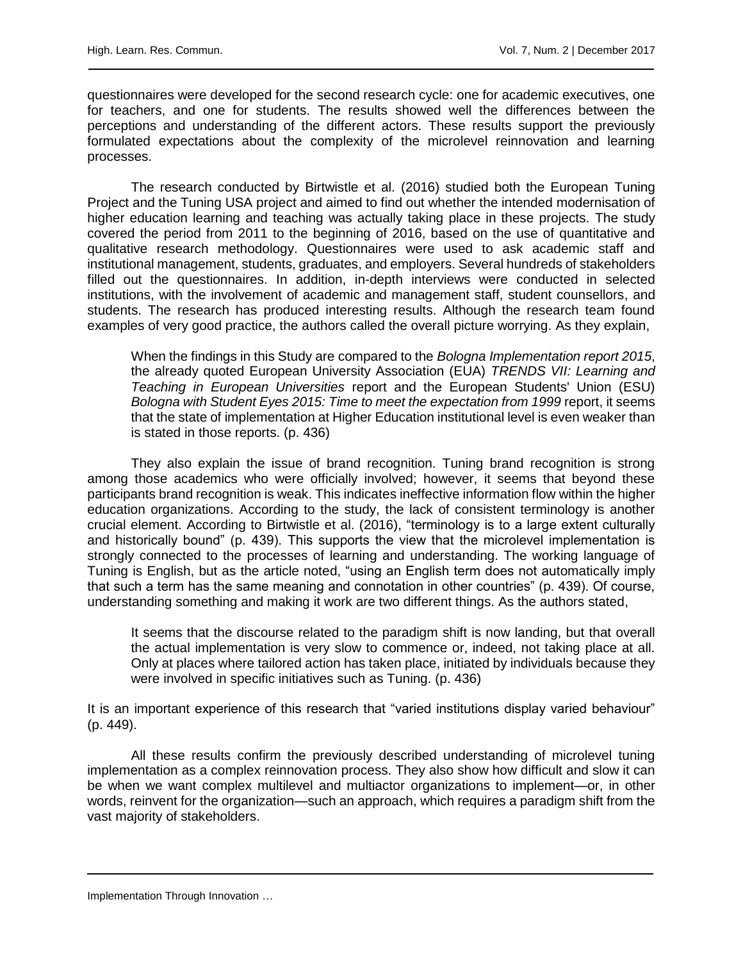questionnaires were developed for the second research cycle: one for academic executives, one for teachers, and one for students. The results showed well the differences between the perceptions and understanding of the different actors. These results support the previously formulated expectations about the complexity of the microlevel reinnovation and learning processes.

The research conducted by Birtwistle et al. (2016) studied both the European Tuning Project and the Tuning USA project and aimed to find out whether the intended modernisation of higher education learning and teaching was actually taking place in these projects. The study covered the period from 2011 to the beginning of 2016, based on the use of quantitative and qualitative research methodology. Questionnaires were used to ask academic staff and institutional management, students, graduates, and employers. Several hundreds of stakeholders filled out the questionnaires. In addition, in-depth interviews were conducted in selected institutions, with the involvement of academic and management staff, student counsellors, and students. The research has produced interesting results. Although the research team found examples of very good practice, the authors called the overall picture worrying. As they explain,

When the findings in this Study are compared to the *Bologna Implementation report 2015*, the already quoted European University Association (EUA) *TRENDS VII: Learning and Teaching in European Universities* report and the European Students' Union (ESU) *Bologna with Student Eyes 2015: Time to meet the expectation from 1999* report, it seems that the state of implementation at Higher Education institutional level is even weaker than is stated in those reports. (p. 436)

They also explain the issue of brand recognition. Tuning brand recognition is strong among those academics who were officially involved; however, it seems that beyond these participants brand recognition is weak. This indicates ineffective information flow within the higher education organizations. According to the study, the lack of consistent terminology is another crucial element. According to Birtwistle et al. (2016), "terminology is to a large extent culturally and historically bound" (p. 439). This supports the view that the microlevel implementation is strongly connected to the processes of learning and understanding. The working language of Tuning is English, but as the article noted, "using an English term does not automatically imply that such a term has the same meaning and connotation in other countries" (p. 439). Of course, understanding something and making it work are two different things. As the authors stated,

It seems that the discourse related to the paradigm shift is now landing, but that overall the actual implementation is very slow to commence or, indeed, not taking place at all. Only at places where tailored action has taken place, initiated by individuals because they were involved in specific initiatives such as Tuning. (p. 436)

It is an important experience of this research that "varied institutions display varied behaviour" (p. 449).

All these results confirm the previously described understanding of microlevel tuning implementation as a complex reinnovation process. They also show how difficult and slow it can be when we want complex multilevel and multiactor organizations to implement—or, in other words, reinvent for the organization—such an approach, which requires a paradigm shift from the vast majority of stakeholders.

Implementation Through Innovation ...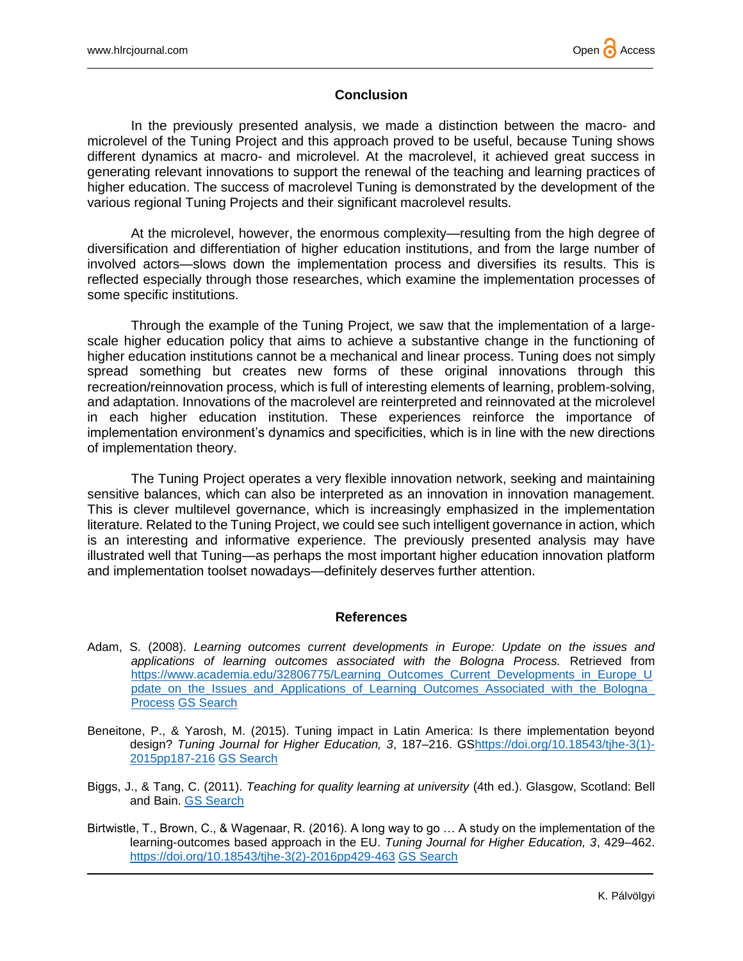# **Conclusion**

In the previously presented analysis, we made a distinction between the macro- and microlevel of the Tuning Project and this approach proved to be useful, because Tuning shows different dynamics at macro- and microlevel. At the macrolevel, it achieved great success in generating relevant innovations to support the renewal of the teaching and learning practices of higher education. The success of macrolevel Tuning is demonstrated by the development of the various regional Tuning Projects and their significant macrolevel results.

At the microlevel, however, the enormous complexity—resulting from the high degree of diversification and differentiation of higher education institutions, and from the large number of involved actors—slows down the implementation process and diversifies its results. This is reflected especially through those researches, which examine the implementation processes of some specific institutions.

Through the example of the Tuning Project, we saw that the implementation of a largescale higher education policy that aims to achieve a substantive change in the functioning of higher education institutions cannot be a mechanical and linear process. Tuning does not simply spread something but creates new forms of these original innovations through this recreation/reinnovation process, which is full of interesting elements of learning, problem-solving, and adaptation. Innovations of the macrolevel are reinterpreted and reinnovated at the microlevel in each higher education institution. These experiences reinforce the importance of implementation environment's dynamics and specificities, which is in line with the new directions of implementation theory.

The Tuning Project operates a very flexible innovation network, seeking and maintaining sensitive balances, which can also be interpreted as an innovation in innovation management. This is clever multilevel governance, which is increasingly emphasized in the implementation literature. Related to the Tuning Project, we could see such intelligent governance in action, which is an interesting and informative experience. The previously presented analysis may have illustrated well that Tuning—as perhaps the most important higher education innovation platform and implementation toolset nowadays—definitely deserves further attention.

## **References**

- Adam, S. (2008). *Learning outcomes current developments in Europe: Update on the issues and applications of learning outcomes associated with the Bologna Process.* Retrieved from [https://www.academia.edu/32806775/Learning\\_Outcomes\\_Current\\_Developments\\_in\\_Europe\\_U](https://www.academia.edu/32806775/Learning_Outcomes_Current_Developments_in_Europe_Update_on_the_Issues_and_Applications_of_Learning_Outcomes_Associated_with_the_Bologna_Process) [pdate\\_on\\_the\\_Issues\\_and\\_Applications\\_of\\_Learning\\_Outcomes\\_Associated\\_with\\_the\\_Bologna\\_](https://www.academia.edu/32806775/Learning_Outcomes_Current_Developments_in_Europe_Update_on_the_Issues_and_Applications_of_Learning_Outcomes_Associated_with_the_Bologna_Process) [Process](https://www.academia.edu/32806775/Learning_Outcomes_Current_Developments_in_Europe_Update_on_the_Issues_and_Applications_of_Learning_Outcomes_Associated_with_the_Bologna_Process) [GS Search](http://scholar.google.com/scholar?q=%22Learning+outcomes+current+developments+in+Europe%22&hl=en&lr=&btnG=Search)
- Beneitone, P., & Yarosh, M. (2015). Tuning impact in Latin America: Is there implementation beyond design? *Tuning Journal for Higher Education, 3*, 187–216. G[Shttps://doi.org/10.18543/tjhe-3\(1\)-](https://doi.org/10.18543/tjhe-3(1)-2015pp187-216) [2015pp187-216](https://doi.org/10.18543/tjhe-3(1)-2015pp187-216) [GS Search](http://scholar.google.com/scholar?q=%22Tuning+impact+in+Latin+America%22&hl=en&lr=&btnG=Search)
- Biggs, J., & Tang, C. (2011). *Teaching for quality learning at university* (4th ed.). Glasgow, Scotland: Bell and Bain. [GS Search](http://scholar.google.com/scholar?q=%22Teaching+for+quality+learning+at+university%20%22&hl=en&lr=&btnG=Search)
- Birtwistle, T., Brown, C., & Wagenaar, R. (2016). A long way to go … A study on the implementation of the learning-outcomes based approach in the EU. *Tuning Journal for Higher Education, 3*, 429–462. [https://doi.org/10.18543/tjhe-3\(2\)-2016pp429-463](https://doi.org/10.18543/tjhe-3(2)-2016pp429-463) [GS Search](http://scholar.google.com/scholar?q=%22A+long+way+to+go+A+study+on+the+implementation+of+the+learning-outcomes%22&hl=en&lr=&btnG=Search)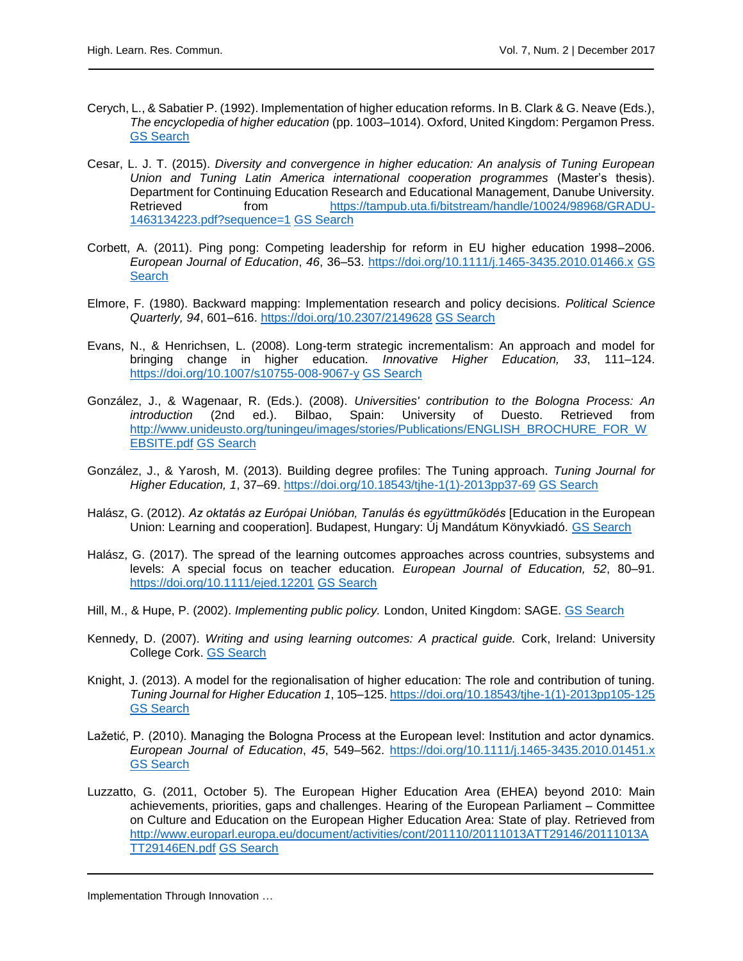- Cerych, L., & Sabatier P. (1992). Implementation of higher education reforms. In B. Clark & G. Neave (Eds.), *The encyclopedia of higher education* (pp. 1003–1014). Oxford, United Kingdom: Pergamon Press. [GS Search](http://scholar.google.com/scholar?q=%22Implementation+of+higher+education+reforms%22&hl=en&lr=&btnG=Search)
- Cesar, L. J. T. (2015). *Diversity and convergence in higher education: An analysis of Tuning European Union and Tuning Latin America international cooperation programmes* (Master's thesis). Department for Continuing Education Research and Educational Management, Danube University. Retrieved from [https://tampub.uta.fi/bitstream/handle/10024/98968/GRADU-](https://tampub.uta.fi/bitstream/handle/10024/98968/GRADU-1463134223.pdf?sequence=1)[1463134223.pdf?sequence=1](https://tampub.uta.fi/bitstream/handle/10024/98968/GRADU-1463134223.pdf?sequence=1) [GS Search](http://scholar.google.com/scholar?q=%22Diversity+and+convergence+in+higher+education%22&hl=en&lr=&btnG=Search)
- Corbett, A. (2011). Ping pong: Competing leadership for reform in EU higher education 1998–2006. *European Journal of Education*, *46*, 36–53.<https://doi.org/10.1111/j.1465-3435.2010.01466.x> [GS](http://scholar.google.com/scholar?q=%22Ping%20pong:+Competing+leadership+for+reform%22&hl=en&lr=&btnG=Search)  **[Search](http://scholar.google.com/scholar?q=%22Ping%20pong:+Competing+leadership+for+reform%22&hl=en&lr=&btnG=Search)**
- Elmore, F. (1980). Backward mapping: Implementation research and policy decisions. *Political Science Quarterly, 94*, 601–616.<https://doi.org/10.2307/2149628> [GS Search](http://scholar.google.com/scholar?q=%22Backward+mapping:+Implementation+research+and%20policy+decisions%22&hl=en&lr=&btnG=Search)
- Evans, N., & Henrichsen, L. (2008). Long-term strategic incrementalism: An approach and model for bringing change in higher education. *Innovative Higher Education, 33*, 111–124. <https://doi.org/10.1007/s10755-008-9067-y> [GS Search](http://scholar.google.com/scholar?q=%22Long-term+strategic+incrementalism:+An+approach%22&hl=en&lr=&btnG=Search)
- González, J., & Wagenaar, R. (Eds.). (2008). *Universities' contribution to the Bologna Process: An introduction* (2nd ed.). Bilbao, Spain: University of Duesto. Retrieved from [http://www.unideusto.org/tuningeu/images/stories/Publications/ENGLISH\\_BROCHURE\\_FOR\\_W](http://www.unideusto.org/tuningeu/images/stories/Publications/ENGLISH_BROCHURE_FOR_WEBSITE.pdf) [EBSITE.pdf](http://www.unideusto.org/tuningeu/images/stories/Publications/ENGLISH_BROCHURE_FOR_WEBSITE.pdf) [GS Search](http://scholar.google.com/scholar?q=%22Universities)
- González, J., & Yarosh, M. (2013). Building degree profiles: The Tuning approach. *Tuning Journal for Higher Education, 1*, 37–69. [https://doi.org/10.18543/tjhe-1\(1\)-2013pp37-69](https://doi.org/10.18543/tjhe-1(1)-2013pp37-69) [GS Search](http://scholar.google.com/scholar?q=%22Building+degree+profiles:+The+Tuning+approach%22&hl=en&lr=&btnG=Search)
- Halász, G. (2012). *Az oktatás az Európai Unióban, Tanulás és együttműködés* [Education in the European Union: Learning and cooperation]. Budapest, Hungary: Új Mandátum Könyvkiadó. [GS Search](http://scholar.google.com/scholar?q=%22Education+in+the+European+Union:+Learning+and+cooperation%22&hl=en&lr=&btnG=Search)
- Halász, G. (2017). The spread of the learning outcomes approaches across countries, subsystems and levels: A special focus on teacher education. *European Journal of Education, 52*, 80–91. <https://doi.org/10.1111/ejed.12201> [GS Search](http://scholar.google.com/scholar?q=%22The+spread+of+the+learning+outcomes+approaches+across+countries,+subsystems+and+levels%22&hl=en&lr=&btnG=Search)
- Hill, M., & Hupe, P. (2002). *Implementing public policy.* London, United Kingdom: SAGE. [GS Search](http://scholar.google.com/scholar?q=%22Implementing+public+policy%22&hl=en&lr=&btnG=Search)
- Kennedy, D. (2007). *Writing and using learning outcomes: A practical guide.* Cork, Ireland: University College Cork. [GS Search](http://scholar.google.com/scholar?q=%22Writing+and+using+learning+outcomes:+A+practical+guide%22&hl=en&lr=&btnG=Search)
- Knight, J. (2013). A model for the regionalisation of higher education: The role and contribution of tuning. *Tuning Journal for Higher Education 1*, 105–125[. https://doi.org/10.18543/tjhe-1\(1\)-2013pp105-125](https://doi.org/10.18543/tjhe-1(1)-2013pp105-125) [GS Search](http://scholar.google.com/scholar?q=%22A+model+for+the+regionalisation+of+higher+education:+The+role+and+contribution+of+tuning%22&hl=en&lr=&btnG=Search)
- Lažetić, P. (2010). Managing the Bologna Process at the European level: Institution and actor dynamics. *European Journal of Education*, *45*, 549–562.<https://doi.org/10.1111/j.1465-3435.2010.01451.x> [GS Search](http://scholar.google.com/scholar?q=%22Managing+the+Bologna+Process+at+the+European+level:+Institution+and+actor+dynamics%22&hl=en&lr=&btnG=Search)
- Luzzatto, G. (2011, October 5). The European Higher Education Area (EHEA) beyond 2010: Main achievements, priorities, gaps and challenges. Hearing of the European Parliament – Committee on Culture and Education on the European Higher Education Area: State of play. Retrieved from [http://www.europarl.europa.eu/document/activities/cont/201110/20111013ATT29146/20111013A](http://www.europarl.europa.eu/document/activities/cont/201110/20111013ATT29146/20111013ATT29146EN.pdf) [TT29146EN.pdf](http://www.europarl.europa.eu/document/activities/cont/201110/20111013ATT29146/20111013ATT29146EN.pdf) [GS Search](http://scholar.google.com/scholar?q=%22The+European+Higher+Education+Area+(EHEA)+beyond+2010:+Main+achievements,+priorities,+gaps+and+challenges%22&hl=en&lr=&btnG=Search)

Implementation Through Innovation ...